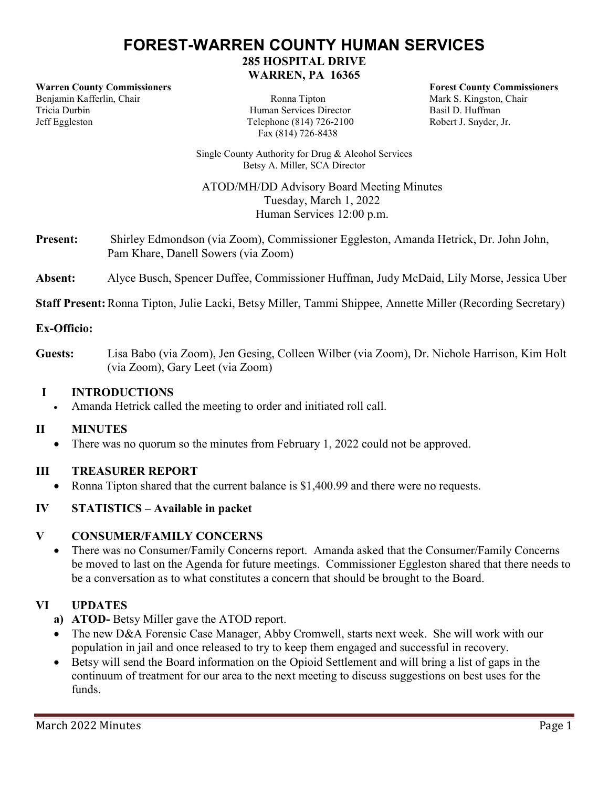# **FOREST-WARREN COUNTY HUMAN SERVICES**

**285 HOSPITAL DRIVE WARREN, PA 16365**

**Warren County Commissioners Forest County Commissioners** Benjamin Kafferlin, Chair Ronna Tipton Mark S. Kingston, Chair Tricia Durbin Human Services Director Basil D. Huffman Jeff Eggleston Telephone (814) 726-2100 Robert J. Snyder, Jr.

Fax (814) 726-8438

Single County Authority for Drug & Alcohol Services Betsy A. Miller, SCA Director

ATOD/MH/DD Advisory Board Meeting Minutes Tuesday, March 1, 2022 Human Services 12:00 p.m.

**Present:** Shirley Edmondson (via Zoom), Commissioner Eggleston, Amanda Hetrick, Dr. John John, Pam Khare, Danell Sowers (via Zoom)

## **Absent:** Alyce Busch, Spencer Duffee, Commissioner Huffman, Judy McDaid, Lily Morse, Jessica Uber

**Staff Present:** Ronna Tipton, Julie Lacki, Betsy Miller, Tammi Shippee, Annette Miller (Recording Secretary)

### **Ex-Officio:**

**Guests:** Lisa Babo (via Zoom), Jen Gesing, Colleen Wilber (via Zoom), Dr. Nichole Harrison, Kim Holt (via Zoom), Gary Leet (via Zoom)

#### **I INTRODUCTIONS**

Amanda Hetrick called the meeting to order and initiated roll call.

### **II MINUTES**

• There was no quorum so the minutes from February 1, 2022 could not be approved.

### **III TREASURER REPORT**

• Ronna Tipton shared that the current balance is \$1,400.99 and there were no requests.

# **IV STATISTICS – Available in packet**

### **V CONSUMER/FAMILY CONCERNS**

 There was no Consumer/Family Concerns report. Amanda asked that the Consumer/Family Concerns be moved to last on the Agenda for future meetings. Commissioner Eggleston shared that there needs to be a conversation as to what constitutes a concern that should be brought to the Board.

# **VI UPDATES**

- **a) ATOD-** Betsy Miller gave the ATOD report.
- The new D&A Forensic Case Manager, Abby Cromwell, starts next week. She will work with our population in jail and once released to try to keep them engaged and successful in recovery.
- Betsy will send the Board information on the Opioid Settlement and will bring a list of gaps in the continuum of treatment for our area to the next meeting to discuss suggestions on best uses for the funds.